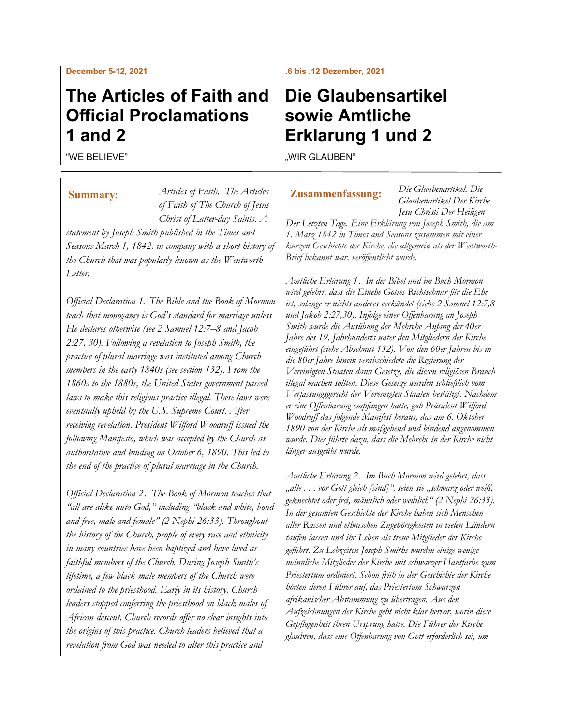#### **December 5-12, 2021**

# **The Articles of Faith and Official Proclamations 1 and 2**

"WE BELIEVE"

*Articles of Faith. The Articles of Faith of The Church of Jesus Christ of Latter-day Saints. A*  **Summary:** *Articles of Faith. The Articles* **Zusammenfassung:** 

*statement by Joseph Smith published in the Times and Seasons March 1, 1842, in company with a short history of the Church that was popularly known as the Wentworth Letter.*

*Official Declaration 1. The Bible and the Book of Mormon teach that monogamy is God's standard for marriage unless He declares otherwise (see 2 Samuel 12:7–8 and Jacob 2:27, 30). Following a revelation to Joseph Smith, the practice of plural marriage was instituted among Church members in the early 1840s (see section 132). From the 1860s to the 1880s, the United States government passed laws to make this religious practice illegal. These laws were eventually upheld by the U.S. Supreme Court. After receiving revelation, President Wilford Woodruff issued the following Manifesto, which was accepted by the Church as authoritative and binding on October 6, 1890. This led to the end of the practice of plural marriage in the Church.*

*Official Declaration 2. The Book of Mormon teaches that "all are alike unto God," including "black and white, bond and free, male and female" (2 Nephi 26:33). Throughout the history of the Church, people of every race and ethnicity in many countries have been baptized and have lived as faithful members of the Church. During Joseph Smith's lifetime, a few black male members of the Church were ordained to the priesthood. Early in its history, Church leaders stopped conferring the priesthood on black males of African descent. Church records offer no clear insights into the origins of this practice. Church leaders believed that a revelation from God was needed to alter this practice and* 

#### **.6 bis .12 Dezember, 2021**

# **Die Glaubensartikel sowie Amtliche Erklarung 1 und 2**

"WIR GLAUBEN"

*Die Glaubenartikel. Die Glaubenartikel Der Kirche Jesu Christi Der Heiligen*

*Der Letzten Tage. [Eine Erklärung von Joseph Smith, die am](https://www.churchofjesuschrist.org/study/scriptures/pgp/introduction?lang=deu&clang=deu)  1. März 1842 in Times and Seasons [zusammen mit einer](https://www.churchofjesuschrist.org/study/scriptures/pgp/introduction?lang=deu&clang=deu)  [kurzen Geschichte der Kirche, die allgemein als der Wentworth-](https://www.churchofjesuschrist.org/study/scriptures/pgp/introduction?lang=deu&clang=deu)[Brief bekannt war, veröffentlicht wurde.](https://www.churchofjesuschrist.org/study/scriptures/pgp/introduction?lang=deu&clang=deu)*

*Amtliche Erlärung 1 . In der Bibel und im Buch Mormon wird gelehrt, dass die Einehe Gottes Richtschnur für die Ehe ist, solange er nichts anderes verkündet (siehe 2 Samuel 12:7,8 und Jakob 2:27,30). Infolge einer Offenbarung an Joseph Smith wurde die Ausübung der Mehrehe Anfang der 40er Jahre des 19. Jahrhunderts unter den Mitgliedern der Kirche eingeführt (siehe Abschnitt 132). Von den 60er Jahren bis in die 80er Jahre hinein verabschiedete die Regierung der Vereinigten Staaten dann Gesetze, die diesen religiösen Brauch illegal machen sollten. Diese Gesetze wurden schließlich vom Verfassungsgericht der Vereinigten Staaten bestätigt. Nachdem er eine Offenbarung empfangen hatte, gab Präsident Wilford Woodruff das folgende Manifest heraus, das am 6. Oktober 1890 von der Kirche als maßgebend und bindend angenommen wurde. Dies führte dazu, dass die Mehrehe in der Kirche nicht länger ausgeübt wurde.*

*Amtliche Erlärung 2 . Im Buch Mormon wird gelehrt, dass*  "alle . . . vor Gott gleich [sind]", seien sie "schwarz oder weiß, *geknechtet oder frei, männlich oder weiblich" (2 Nephi 26:33). In der gesamten Geschichte der Kirche haben sich Menschen aller Rassen und ethnischen Zugehörigkeiten in vielen Ländern taufen lassen und ihr Leben als treue Mitglieder der Kirche geführt. Zu Lebzeiten Joseph Smiths wurden einige wenige männliche Mitglieder der Kirche mit schwarzer Hautfarbe zum Priestertum ordiniert. Schon früh in der Geschichte der Kirche hörten deren Führer auf, das Priestertum Schwarzen afrikanischer Abstammung zu übertragen. Aus den Aufzeichnungen der Kirche geht nicht klar hervor, worin diese Gepflogenheit ihren Ursprung hatte. Die Führer der Kirche glaubten, dass eine Offenbarung von Gott erforderlich sei, um*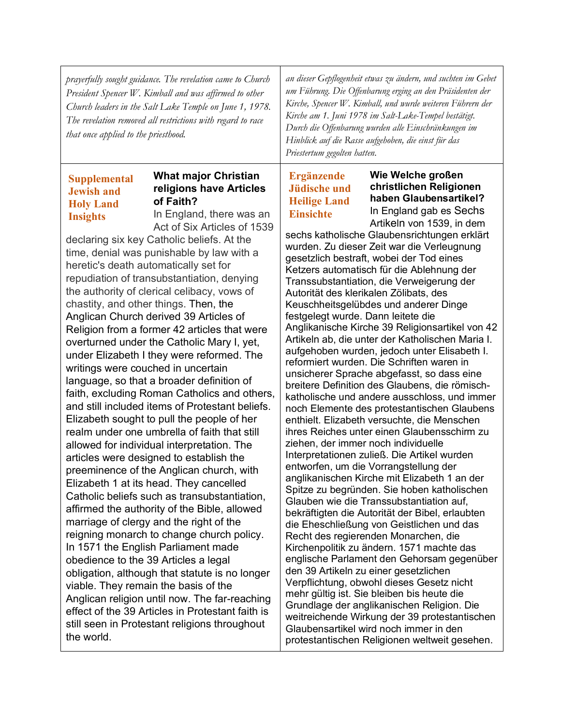| Wie Welche großen<br><b>What major Christian</b><br><b>Ergänzende</b><br><b>Supplemental</b><br>christlichen Religionen<br><b>Jüdische und</b><br>religions have Articles<br><b>Jewish and</b><br>haben Glaubensartikel?<br><b>Heilige Land</b><br>of Faith?<br><b>Holy Land</b><br>In England gab es Sechs<br><b>Einsichte</b><br>In England, there was an<br><b>Insights</b><br>Artikeln von 1539, in dem<br>Act of Six Articles of 1539<br>sechs katholische Glaubensrichtungen erklärt<br>declaring six key Catholic beliefs. At the<br>wurden. Zu dieser Zeit war die Verleugnung<br>time, denial was punishable by law with a<br>gesetzlich bestraft, wobei der Tod eines<br>heretic's death automatically set for<br>Ketzers automatisch für die Ablehnung der<br>repudiation of transubstantiation, denying<br>Transsubstantiation, die Verweigerung der<br>the authority of clerical celibacy, vows of<br>Autorität des klerikalen Zölibats, des<br>chastity, and other things. Then, the<br>Keuschheitsgelübdes und anderer Dinge<br>festgelegt wurde. Dann leitete die<br>Anglican Church derived 39 Articles of<br>Anglikanische Kirche 39 Religionsartikel von 42<br>Religion from a former 42 articles that were<br>Artikeln ab, die unter der Katholischen Maria I.<br>overturned under the Catholic Mary I, yet,<br>aufgehoben wurden, jedoch unter Elisabeth I.<br>under Elizabeth I they were reformed. The<br>reformiert wurden. Die Schriften waren in<br>writings were couched in uncertain<br>unsicherer Sprache abgefasst, so dass eine<br>language, so that a broader definition of<br>breitere Definition des Glaubens, die römisch-<br>faith, excluding Roman Catholics and others,<br>katholische und andere ausschloss, und immer<br>and still included items of Protestant beliefs.<br>noch Elemente des protestantischen Glaubens<br>Elizabeth sought to pull the people of her<br>enthielt. Elizabeth versuchte, die Menschen<br>realm under one umbrella of faith that still<br>ihres Reiches unter einen Glaubensschirm zu<br>ziehen, der immer noch individuelle<br>allowed for individual interpretation. The<br>Interpretationen zuließ. Die Artikel wurden<br>articles were designed to establish the<br>entworfen, um die Vorrangstellung der<br>preeminence of the Anglican church, with<br>anglikanischen Kirche mit Elizabeth 1 an der<br>Elizabeth 1 at its head. They cancelled<br>Spitze zu begründen. Sie hoben katholischen<br>Catholic beliefs such as transubstantiation,<br>Glauben wie die Transsubstantiation auf,<br>affirmed the authority of the Bible, allowed<br>bekräftigten die Autorität der Bibel, erlaubten<br>marriage of clergy and the right of the<br>die Eheschließung von Geistlichen und das<br>reigning monarch to change church policy.<br>Recht des regierenden Monarchen, die<br>In 1571 the English Parliament made<br>Kirchenpolitik zu ändern. 1571 machte das<br>englische Parlament den Gehorsam gegenüber<br>obedience to the 39 Articles a legal<br>den 39 Artikeln zu einer gesetzlichen<br>obligation, although that statute is no longer<br>Verpflichtung, obwohl dieses Gesetz nicht<br>viable. They remain the basis of the<br>mehr gültig ist. Sie bleiben bis heute die<br>Anglican religion until now. The far-reaching<br>Grundlage der anglikanischen Religion. Die<br>effect of the 39 Articles in Protestant faith is<br>weitreichende Wirkung der 39 protestantischen<br>still seen in Protestant religions throughout<br>Glaubensartikel wird noch immer in den | prayerfully sought guidance. The revelation came to Church<br>President Spencer W. Kimball and was affirmed to other<br>Church leaders in the Salt Lake Temple on June 1, 1978.<br>The revelation removed all restrictions with regard to race<br>that once applied to the priesthood. |  | Priestertum gegolten hatten. | an dieser Gepflogenheit etwas zu ändern, und suchten im Gebet<br>um Führung. Die Offenbarung erging an den Präsidenten der<br>Kirche, Spencer W. Kimball, und wurde weiteren Führern der<br>Kirche am 1. Juni 1978 im Salt-Lake-Tempel bestätigt.<br>Durch die Offenbarung wurden alle Einschränkungen im<br>Hinblick auf die Rasse aufgehoben, die einst für das |
|--------------------------------------------------------------------------------------------------------------------------------------------------------------------------------------------------------------------------------------------------------------------------------------------------------------------------------------------------------------------------------------------------------------------------------------------------------------------------------------------------------------------------------------------------------------------------------------------------------------------------------------------------------------------------------------------------------------------------------------------------------------------------------------------------------------------------------------------------------------------------------------------------------------------------------------------------------------------------------------------------------------------------------------------------------------------------------------------------------------------------------------------------------------------------------------------------------------------------------------------------------------------------------------------------------------------------------------------------------------------------------------------------------------------------------------------------------------------------------------------------------------------------------------------------------------------------------------------------------------------------------------------------------------------------------------------------------------------------------------------------------------------------------------------------------------------------------------------------------------------------------------------------------------------------------------------------------------------------------------------------------------------------------------------------------------------------------------------------------------------------------------------------------------------------------------------------------------------------------------------------------------------------------------------------------------------------------------------------------------------------------------------------------------------------------------------------------------------------------------------------------------------------------------------------------------------------------------------------------------------------------------------------------------------------------------------------------------------------------------------------------------------------------------------------------------------------------------------------------------------------------------------------------------------------------------------------------------------------------------------------------------------------------------------------------------------------------------------------------------------------------------------------------------------------------------------------------------------------------------------------------------------------------------------------------------------------------------------------------------------------------------------------------------------------------------------------------------------------------------------------------------------------------------------------------------|----------------------------------------------------------------------------------------------------------------------------------------------------------------------------------------------------------------------------------------------------------------------------------------|--|------------------------------|-------------------------------------------------------------------------------------------------------------------------------------------------------------------------------------------------------------------------------------------------------------------------------------------------------------------------------------------------------------------|
|                                                                                                                                                                                                                                                                                                                                                                                                                                                                                                                                                                                                                                                                                                                                                                                                                                                                                                                                                                                                                                                                                                                                                                                                                                                                                                                                                                                                                                                                                                                                                                                                                                                                                                                                                                                                                                                                                                                                                                                                                                                                                                                                                                                                                                                                                                                                                                                                                                                                                                                                                                                                                                                                                                                                                                                                                                                                                                                                                                                                                                                                                                                                                                                                                                                                                                                                                                                                                                                                                                                                                              |                                                                                                                                                                                                                                                                                        |  |                              |                                                                                                                                                                                                                                                                                                                                                                   |

protestantischen Religionen weltweit gesehen.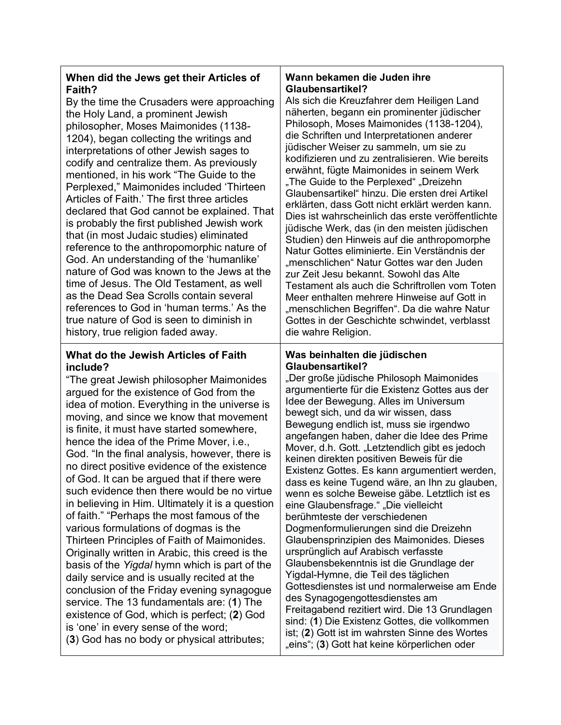# **When did the Jews get their Articles of Faith?**

By the time the Crusaders were approaching the Holy Land, a prominent Jewish philosopher, Moses Maimonides (1138- 1204), began collecting the writings and interpretations of other Jewish sages to codify and centralize them. As previously mentioned, in his work "The Guide to the Perplexed," Maimonides included 'Thirteen Articles of Faith.' The first three articles declared that God cannot be explained. That is probably the first published Jewish work that (in most Judaic studies) eliminated reference to the anthropomorphic nature of God. An understanding of the 'humanlike' nature of God was known to the Jews at the time of Jesus. The Old Testament, as well as the Dead Sea Scrolls contain several references to God in 'human terms.' As the true nature of God is seen to diminish in history, true religion faded away.

## **What do the Jewish Articles of Faith include?**

"The great Jewish philosopher Maimonides argued for the existence of God from the idea of motion. Everything in the universe is moving, and since we know that movement is finite, it must have started somewhere, hence the idea of the Prime Mover, i.e., God. "In the final analysis, however, there is no direct positive evidence of the existence of God. It can be argued that if there were such evidence then there would be no virtue in believing in Him. Ultimately it is a question of faith." "Perhaps the most famous of the various formulations of dogmas is the Thirteen Principles of Faith of Maimonides. Originally written in Arabic, this creed is the basis of the *Yigdal* hymn which is part of the daily service and is usually recited at the conclusion of the Friday evening synagogue service. The 13 fundamentals are: (**1**) The existence of God, which is perfect; (**2**) God is 'one' in every sense of the word; (**3**) God has no body or physical attributes;

#### **Wann bekamen die Juden ihre Glaubensartikel?**

Als sich die Kreuzfahrer dem Heiligen Land näherten, begann ein prominenter jüdischer Philosoph, Moses Maimonides (1138-1204), die Schriften und Interpretationen anderer jüdischer Weiser zu sammeln, um sie zu kodifizieren und zu zentralisieren. Wie bereits erwähnt, fügte Maimonides in seinem Werk "The Guide to the Perplexed" "Dreizehn Glaubensartikel" hinzu. Die ersten drei Artikel erklärten, dass Gott nicht erklärt werden kann. Dies ist wahrscheinlich das erste veröffentlichte jüdische Werk, das (in den meisten jüdischen Studien) den Hinweis auf die anthropomorphe Natur Gottes eliminierte. Ein Verständnis der "menschlichen" Natur Gottes war den Juden zur Zeit Jesu bekannt. Sowohl das Alte Testament als auch die Schriftrollen vom Toten Meer enthalten mehrere Hinweise auf Gott in "menschlichen Begriffen". Da die wahre Natur Gottes in der Geschichte schwindet, verblasst die wahre Religion.

### **Was beinhalten die jüdischen Glaubensartikel?**

"Der große jüdische Philosoph Maimonides argumentierte für die Existenz Gottes aus der Idee der Bewegung. Alles im Universum bewegt sich, und da wir wissen, dass Bewegung endlich ist, muss sie irgendwo angefangen haben, daher die Idee des Prime Mover, d.h. Gott. "Letztendlich gibt es jedoch keinen direkten positiven Beweis für die Existenz Gottes. Es kann argumentiert werden, dass es keine Tugend wäre, an Ihn zu glauben, wenn es solche Beweise gäbe. Letztlich ist es eine Glaubensfrage." "Die vielleicht berühmteste der verschiedenen Dogmenformulierungen sind die Dreizehn Glaubensprinzipien des Maimonides. Dieses ursprünglich auf Arabisch verfasste Glaubensbekenntnis ist die Grundlage der Yigdal-Hymne, die Teil des täglichen Gottesdienstes ist und normalerweise am Ende des Synagogengottesdienstes am Freitagabend rezitiert wird. Die 13 Grundlagen sind: (**1**) Die Existenz Gottes, die vollkommen ist; (**2**) Gott ist im wahrsten Sinne des Wortes "eins"; (3) Gott hat keine körperlichen oder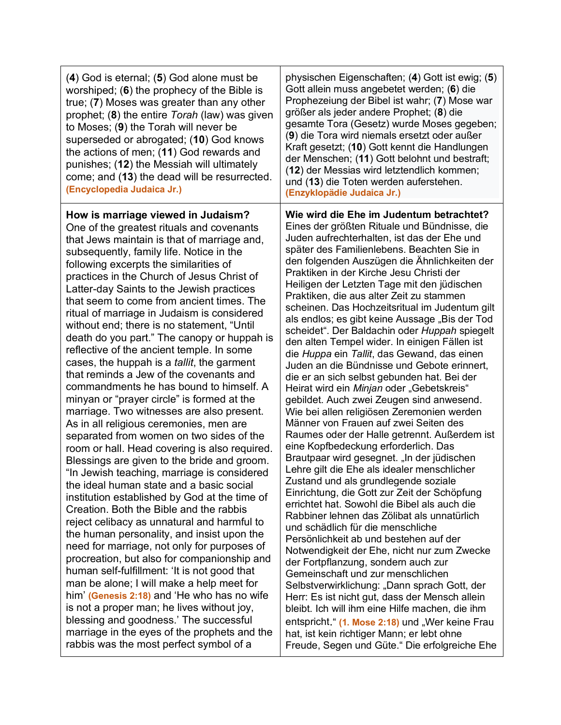| Kraft gesetzt; (10) Gott kennt die Handlungen<br>the actions of men; (11) God rewards and<br>der Menschen; (11) Gott belohnt und bestraft;<br>punishes; (12) the Messiah will ultimately<br>(12) der Messias wird letztendlich kommen;<br>come; and (13) the dead will be resurrected.<br>und (13) die Toten werden auferstehen.<br>(Encyclopedia Judaica Jr.)<br>(Enzyklopädie Judaica Jr.)                                                                                                                                                                                                                                                                                                                                                                                                                                                                                                                                                                                                                                                                                                                                                                                                                                                                                                                                                                                                                                                                                                                                                                                                                                                                                                         |                                                                                                                                                                                                                                                                                                                                                                                                                                                                                                                                                                                                                                                                                                                                                                                                                                                                                                                                                                                                                                                                                                                                                                                                                                                                                                                                                                                                                                                                                                                                                                                                                                                                                                                                                                                                               |
|------------------------------------------------------------------------------------------------------------------------------------------------------------------------------------------------------------------------------------------------------------------------------------------------------------------------------------------------------------------------------------------------------------------------------------------------------------------------------------------------------------------------------------------------------------------------------------------------------------------------------------------------------------------------------------------------------------------------------------------------------------------------------------------------------------------------------------------------------------------------------------------------------------------------------------------------------------------------------------------------------------------------------------------------------------------------------------------------------------------------------------------------------------------------------------------------------------------------------------------------------------------------------------------------------------------------------------------------------------------------------------------------------------------------------------------------------------------------------------------------------------------------------------------------------------------------------------------------------------------------------------------------------------------------------------------------------|---------------------------------------------------------------------------------------------------------------------------------------------------------------------------------------------------------------------------------------------------------------------------------------------------------------------------------------------------------------------------------------------------------------------------------------------------------------------------------------------------------------------------------------------------------------------------------------------------------------------------------------------------------------------------------------------------------------------------------------------------------------------------------------------------------------------------------------------------------------------------------------------------------------------------------------------------------------------------------------------------------------------------------------------------------------------------------------------------------------------------------------------------------------------------------------------------------------------------------------------------------------------------------------------------------------------------------------------------------------------------------------------------------------------------------------------------------------------------------------------------------------------------------------------------------------------------------------------------------------------------------------------------------------------------------------------------------------------------------------------------------------------------------------------------------------|
| How is marriage viewed in Judaism?<br>One of the greatest rituals and covenants<br>that Jews maintain is that of marriage and,<br>subsequently, family life. Notice in the<br>following excerpts the similarities of<br>practices in the Church of Jesus Christ of<br>Latter-day Saints to the Jewish practices<br>that seem to come from ancient times. The<br>ritual of marriage in Judaism is considered<br>without end; there is no statement, "Until<br>death do you part." The canopy or huppah is<br>reflective of the ancient temple. In some<br>cases, the huppah is a <i>tallit</i> , the garment<br>that reminds a Jew of the covenants and<br>commandments he has bound to himself. A<br>minyan or "prayer circle" is formed at the<br>marriage. Two witnesses are also present.<br>As in all religious ceremonies, men are<br>separated from women on two sides of the<br>room or hall. Head covering is also required.<br>Blessings are given to the bride and groom.<br>"In Jewish teaching, marriage is considered<br>the ideal human state and a basic social<br>institution established by God at the time of<br>Creation. Both the Bible and the rabbis<br>reject celibacy as unnatural and harmful to<br>the human personality, and insist upon the<br>need for marriage, not only for purposes of<br>procreation, but also for companionship and<br>human self-fulfillment: 'It is not good that<br>man be alone; I will make a help meet for<br>him' (Genesis 2:18) and 'He who has no wife<br>is not a proper man; he lives without joy,<br>blessing and goodness.' The successful<br>marriage in the eyes of the prophets and the<br>rabbis was the most perfect symbol of a | Wie wird die Ehe im Judentum betrachtet?<br>Eines der größten Rituale und Bündnisse, die<br>Juden aufrechterhalten, ist das der Ehe und<br>später des Familienlebens. Beachten Sie in<br>den folgenden Auszügen die Ähnlichkeiten der<br>Praktiken in der Kirche Jesu Christi der<br>Heiligen der Letzten Tage mit den jüdischen<br>Praktiken, die aus alter Zeit zu stammen<br>scheinen. Das Hochzeitsritual im Judentum gilt<br>als endlos; es gibt keine Aussage "Bis der Tod<br>scheidet". Der Baldachin oder Huppah spiegelt<br>den alten Tempel wider. In einigen Fällen ist<br>die Huppa ein Tallit, das Gewand, das einen<br>Juden an die Bündnisse und Gebote erinnert,<br>die er an sich selbst gebunden hat. Bei der<br>Heirat wird ein Minjan oder "Gebetskreis"<br>gebildet. Auch zwei Zeugen sind anwesend.<br>Wie bei allen religiösen Zeremonien werden<br>Männer von Frauen auf zwei Seiten des<br>Raumes oder der Halle getrennt. Außerdem ist<br>eine Kopfbedeckung erforderlich. Das<br>Brautpaar wird gesegnet. "In der jüdischen<br>Lehre gilt die Ehe als idealer menschlicher<br>Zustand und als grundlegende soziale<br>Einrichtung, die Gott zur Zeit der Schöpfung<br>errichtet hat. Sowohl die Bibel als auch die<br>Rabbiner lehnen das Zölibat als unnatürlich<br>und schädlich für die menschliche<br>Persönlichkeit ab und bestehen auf der<br>Notwendigkeit der Ehe, nicht nur zum Zwecke<br>der Fortpflanzung, sondern auch zur<br>Gemeinschaft und zur menschlichen<br>Selbstverwirklichung: "Dann sprach Gott, der<br>Herr: Es ist nicht gut, dass der Mensch allein<br>bleibt. Ich will ihm eine Hilfe machen, die ihm<br>entspricht." (1. Mose 2:18) und "Wer keine Frau<br>hat, ist kein richtiger Mann; er lebt ohne<br>Freude, Segen und Güte." Die erfolgreiche Ehe |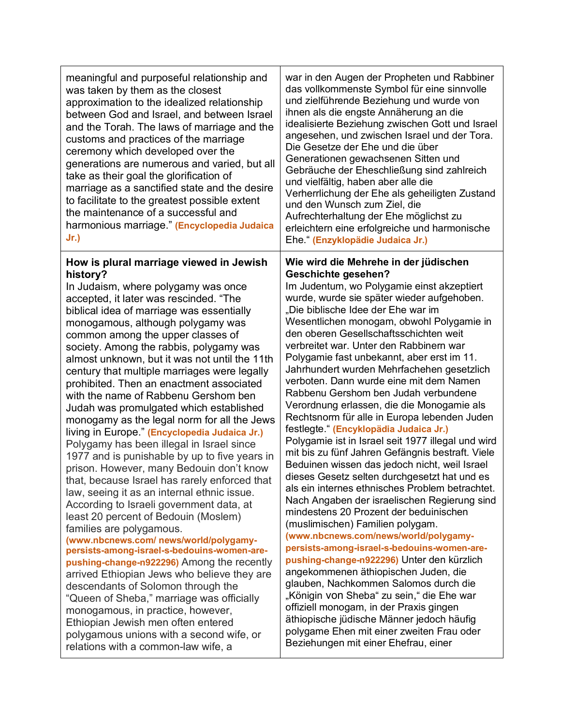| meaningful and purposeful relationship and<br>was taken by them as the closest<br>approximation to the idealized relationship<br>between God and Israel, and between Israel<br>and the Torah. The laws of marriage and the<br>customs and practices of the marriage<br>ceremony which developed over the<br>generations are numerous and varied, but all<br>take as their goal the glorification of<br>marriage as a sanctified state and the desire<br>to facilitate to the greatest possible extent<br>the maintenance of a successful and<br>harmonious marriage." (Encyclopedia Judaica<br>$Jr$ .) | war in den Augen der Propheten und Rabbiner<br>das vollkommenste Symbol für eine sinnvolle<br>und zielführende Beziehung und wurde von<br>ihnen als die engste Annäherung an die<br>idealisierte Beziehung zwischen Gott und Israel<br>angesehen, und zwischen Israel und der Tora.<br>Die Gesetze der Ehe und die über<br>Generationen gewachsenen Sitten und<br>Gebräuche der Eheschließung sind zahlreich<br>und vielfältig, haben aber alle die<br>Verherrlichung der Ehe als geheiligten Zustand<br>und den Wunsch zum Ziel, die<br>Aufrechterhaltung der Ehe möglichst zu<br>erleichtern eine erfolgreiche und harmonische<br>Ehe." (Enzyklopädie Judaica Jr.) |
|--------------------------------------------------------------------------------------------------------------------------------------------------------------------------------------------------------------------------------------------------------------------------------------------------------------------------------------------------------------------------------------------------------------------------------------------------------------------------------------------------------------------------------------------------------------------------------------------------------|----------------------------------------------------------------------------------------------------------------------------------------------------------------------------------------------------------------------------------------------------------------------------------------------------------------------------------------------------------------------------------------------------------------------------------------------------------------------------------------------------------------------------------------------------------------------------------------------------------------------------------------------------------------------|
| How is plural marriage viewed in Jewish                                                                                                                                                                                                                                                                                                                                                                                                                                                                                                                                                                | Wie wird die Mehrehe in der jüdischen                                                                                                                                                                                                                                                                                                                                                                                                                                                                                                                                                                                                                                |
| history?                                                                                                                                                                                                                                                                                                                                                                                                                                                                                                                                                                                               | <b>Geschichte gesehen?</b>                                                                                                                                                                                                                                                                                                                                                                                                                                                                                                                                                                                                                                           |
| In Judaism, where polygamy was once                                                                                                                                                                                                                                                                                                                                                                                                                                                                                                                                                                    | Im Judentum, wo Polygamie einst akzeptiert                                                                                                                                                                                                                                                                                                                                                                                                                                                                                                                                                                                                                           |
| accepted, it later was rescinded. "The                                                                                                                                                                                                                                                                                                                                                                                                                                                                                                                                                                 | wurde, wurde sie später wieder aufgehoben.                                                                                                                                                                                                                                                                                                                                                                                                                                                                                                                                                                                                                           |
| biblical idea of marriage was essentially                                                                                                                                                                                                                                                                                                                                                                                                                                                                                                                                                              | "Die biblische Idee der Ehe war im                                                                                                                                                                                                                                                                                                                                                                                                                                                                                                                                                                                                                                   |
| monogamous, although polygamy was                                                                                                                                                                                                                                                                                                                                                                                                                                                                                                                                                                      | Wesentlichen monogam, obwohl Polygamie in                                                                                                                                                                                                                                                                                                                                                                                                                                                                                                                                                                                                                            |
| common among the upper classes of                                                                                                                                                                                                                                                                                                                                                                                                                                                                                                                                                                      | den oberen Gesellschaftsschichten weit                                                                                                                                                                                                                                                                                                                                                                                                                                                                                                                                                                                                                               |
| society. Among the rabbis, polygamy was                                                                                                                                                                                                                                                                                                                                                                                                                                                                                                                                                                | verbreitet war. Unter den Rabbinern war                                                                                                                                                                                                                                                                                                                                                                                                                                                                                                                                                                                                                              |
| almost unknown, but it was not until the 11th                                                                                                                                                                                                                                                                                                                                                                                                                                                                                                                                                          | Polygamie fast unbekannt, aber erst im 11.                                                                                                                                                                                                                                                                                                                                                                                                                                                                                                                                                                                                                           |
| century that multiple marriages were legally                                                                                                                                                                                                                                                                                                                                                                                                                                                                                                                                                           | Jahrhundert wurden Mehrfachehen gesetzlich                                                                                                                                                                                                                                                                                                                                                                                                                                                                                                                                                                                                                           |
| prohibited. Then an enactment associated                                                                                                                                                                                                                                                                                                                                                                                                                                                                                                                                                               | verboten. Dann wurde eine mit dem Namen                                                                                                                                                                                                                                                                                                                                                                                                                                                                                                                                                                                                                              |
| with the name of Rabbenu Gershom ben                                                                                                                                                                                                                                                                                                                                                                                                                                                                                                                                                                   | Rabbenu Gershom ben Judah verbundene                                                                                                                                                                                                                                                                                                                                                                                                                                                                                                                                                                                                                                 |
| Judah was promulgated which established                                                                                                                                                                                                                                                                                                                                                                                                                                                                                                                                                                | Verordnung erlassen, die die Monogamie als                                                                                                                                                                                                                                                                                                                                                                                                                                                                                                                                                                                                                           |
| monogamy as the legal norm for all the Jews                                                                                                                                                                                                                                                                                                                                                                                                                                                                                                                                                            | Rechtsnorm für alle in Europa lebenden Juden                                                                                                                                                                                                                                                                                                                                                                                                                                                                                                                                                                                                                         |
| living in Europe." (Encyclopedia Judaica Jr.)                                                                                                                                                                                                                                                                                                                                                                                                                                                                                                                                                          | festlegte." (Encyklopädia Judaica Jr.)                                                                                                                                                                                                                                                                                                                                                                                                                                                                                                                                                                                                                               |
| Polygamy has been illegal in Israel since                                                                                                                                                                                                                                                                                                                                                                                                                                                                                                                                                              | Polygamie ist in Israel seit 1977 illegal und wird                                                                                                                                                                                                                                                                                                                                                                                                                                                                                                                                                                                                                   |
| 1977 and is punishable by up to five years in                                                                                                                                                                                                                                                                                                                                                                                                                                                                                                                                                          | mit bis zu fünf Jahren Gefängnis bestraft. Viele                                                                                                                                                                                                                                                                                                                                                                                                                                                                                                                                                                                                                     |
| prison. However, many Bedouin don't know                                                                                                                                                                                                                                                                                                                                                                                                                                                                                                                                                               | Beduinen wissen das jedoch nicht, weil Israel                                                                                                                                                                                                                                                                                                                                                                                                                                                                                                                                                                                                                        |
| that, because Israel has rarely enforced that                                                                                                                                                                                                                                                                                                                                                                                                                                                                                                                                                          | dieses Gesetz selten durchgesetzt hat und es                                                                                                                                                                                                                                                                                                                                                                                                                                                                                                                                                                                                                         |
| law, seeing it as an internal ethnic issue.                                                                                                                                                                                                                                                                                                                                                                                                                                                                                                                                                            | als ein internes ethnisches Problem betrachtet.                                                                                                                                                                                                                                                                                                                                                                                                                                                                                                                                                                                                                      |
| According to Israeli government data, at                                                                                                                                                                                                                                                                                                                                                                                                                                                                                                                                                               | Nach Angaben der israelischen Regierung sind                                                                                                                                                                                                                                                                                                                                                                                                                                                                                                                                                                                                                         |
| least 20 percent of Bedouin (Moslem)                                                                                                                                                                                                                                                                                                                                                                                                                                                                                                                                                                   | mindestens 20 Prozent der beduinischen                                                                                                                                                                                                                                                                                                                                                                                                                                                                                                                                                                                                                               |
| families are polygamous.                                                                                                                                                                                                                                                                                                                                                                                                                                                                                                                                                                               | (muslimischen) Familien polygam.                                                                                                                                                                                                                                                                                                                                                                                                                                                                                                                                                                                                                                     |
| (www.nbcnews.com/ news/world/polygamy-                                                                                                                                                                                                                                                                                                                                                                                                                                                                                                                                                                 | (www.nbcnews.com/news/world/polygamy-                                                                                                                                                                                                                                                                                                                                                                                                                                                                                                                                                                                                                                |
| persists-among-israel-s-bedouins-women-are-                                                                                                                                                                                                                                                                                                                                                                                                                                                                                                                                                            | persists-among-israel-s-bedouins-women-are-                                                                                                                                                                                                                                                                                                                                                                                                                                                                                                                                                                                                                          |
| pushing-change-n922296) Among the recently                                                                                                                                                                                                                                                                                                                                                                                                                                                                                                                                                             | pushing-change-n922296) Unter den kürzlich                                                                                                                                                                                                                                                                                                                                                                                                                                                                                                                                                                                                                           |
| arrived Ethiopian Jews who believe they are                                                                                                                                                                                                                                                                                                                                                                                                                                                                                                                                                            | angekommenen äthiopischen Juden, die                                                                                                                                                                                                                                                                                                                                                                                                                                                                                                                                                                                                                                 |
| descendants of Solomon through the                                                                                                                                                                                                                                                                                                                                                                                                                                                                                                                                                                     | glauben, Nachkommen Salomos durch die                                                                                                                                                                                                                                                                                                                                                                                                                                                                                                                                                                                                                                |
| "Queen of Sheba," marriage was officially                                                                                                                                                                                                                                                                                                                                                                                                                                                                                                                                                              | "Königin von Sheba" zu sein," die Ehe war                                                                                                                                                                                                                                                                                                                                                                                                                                                                                                                                                                                                                            |
| monogamous, in practice, however,                                                                                                                                                                                                                                                                                                                                                                                                                                                                                                                                                                      | offiziell monogam, in der Praxis gingen                                                                                                                                                                                                                                                                                                                                                                                                                                                                                                                                                                                                                              |
| Ethiopian Jewish men often entered                                                                                                                                                                                                                                                                                                                                                                                                                                                                                                                                                                     | äthiopische jüdische Männer jedoch häufig                                                                                                                                                                                                                                                                                                                                                                                                                                                                                                                                                                                                                            |
| polygamous unions with a second wife, or                                                                                                                                                                                                                                                                                                                                                                                                                                                                                                                                                               | polygame Ehen mit einer zweiten Frau oder                                                                                                                                                                                                                                                                                                                                                                                                                                                                                                                                                                                                                            |
| relations with a common-law wife, a                                                                                                                                                                                                                                                                                                                                                                                                                                                                                                                                                                    | Beziehungen mit einer Ehefrau, einer                                                                                                                                                                                                                                                                                                                                                                                                                                                                                                                                                                                                                                 |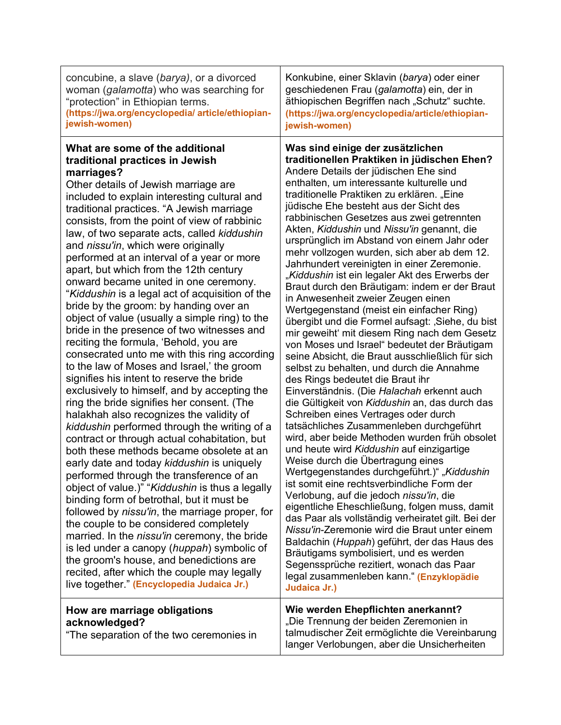| concubine, a slave (barya), or a divorced<br>woman ( <i>galamotta</i> ) who was searching for<br>"protection" in Ethiopian terms.<br>(https://jwa.org/encyclopedia/ article/ethiopian-<br>jewish-women)                                                                                                                                                                                                                                                                                                                                                                                                                                                                                                                                                                                                                                                                                                                                                                                                                                                                                                                                                                                                                                                                                                                                                                                                                                                                                                                                                                                                                                                                                          | Konkubine, einer Sklavin (barya) oder einer<br>geschiedenen Frau (galamotta) ein, der in<br>äthiopischen Begriffen nach "Schutz" suchte.<br>(https://jwa.org/encyclopedia/article/ethiopian-<br>jewish-women)                                                                                                                                                                                                                                                                                                                                                                                                                                                                                                                                                                                                                                                                                                                                                                                                                                                                                                                                                                                                                                                                                                                                                                                                                                                                                                                                                                                                                                                                                                                                                                                                 |
|--------------------------------------------------------------------------------------------------------------------------------------------------------------------------------------------------------------------------------------------------------------------------------------------------------------------------------------------------------------------------------------------------------------------------------------------------------------------------------------------------------------------------------------------------------------------------------------------------------------------------------------------------------------------------------------------------------------------------------------------------------------------------------------------------------------------------------------------------------------------------------------------------------------------------------------------------------------------------------------------------------------------------------------------------------------------------------------------------------------------------------------------------------------------------------------------------------------------------------------------------------------------------------------------------------------------------------------------------------------------------------------------------------------------------------------------------------------------------------------------------------------------------------------------------------------------------------------------------------------------------------------------------------------------------------------------------|---------------------------------------------------------------------------------------------------------------------------------------------------------------------------------------------------------------------------------------------------------------------------------------------------------------------------------------------------------------------------------------------------------------------------------------------------------------------------------------------------------------------------------------------------------------------------------------------------------------------------------------------------------------------------------------------------------------------------------------------------------------------------------------------------------------------------------------------------------------------------------------------------------------------------------------------------------------------------------------------------------------------------------------------------------------------------------------------------------------------------------------------------------------------------------------------------------------------------------------------------------------------------------------------------------------------------------------------------------------------------------------------------------------------------------------------------------------------------------------------------------------------------------------------------------------------------------------------------------------------------------------------------------------------------------------------------------------------------------------------------------------------------------------------------------------|
| What are some of the additional<br>traditional practices in Jewish<br>marriages?<br>Other details of Jewish marriage are<br>included to explain interesting cultural and<br>traditional practices. "A Jewish marriage<br>consists, from the point of view of rabbinic<br>law, of two separate acts, called kiddushin<br>and nissu'in, which were originally<br>performed at an interval of a year or more<br>apart, but which from the 12th century<br>onward became united in one ceremony.<br>"Kiddushin is a legal act of acquisition of the<br>bride by the groom: by handing over an<br>object of value (usually a simple ring) to the<br>bride in the presence of two witnesses and<br>reciting the formula, 'Behold, you are<br>consecrated unto me with this ring according<br>to the law of Moses and Israel,' the groom<br>signifies his intent to reserve the bride<br>exclusively to himself, and by accepting the<br>ring the bride signifies her consent. (The<br>halakhah also recognizes the validity of<br>kiddushin performed through the writing of a<br>contract or through actual cohabitation, but<br>both these methods became obsolete at an<br>early date and today kiddushin is uniquely<br>performed through the transference of an<br>object of value.)" "Kiddushin is thus a legally<br>binding form of betrothal, but it must be<br>followed by nissu'in, the marriage proper, for<br>the couple to be considered completely<br>married. In the nissu'in ceremony, the bride<br>is led under a canopy (huppah) symbolic of<br>the groom's house, and benedictions are<br>recited, after which the couple may legally<br>live together." (Encyclopedia Judaica Jr.) | Was sind einige der zusätzlichen<br>traditionellen Praktiken in jüdischen Ehen?<br>Andere Details der jüdischen Ehe sind<br>enthalten, um interessante kulturelle und<br>traditionelle Praktiken zu erklären. "Eine<br>jüdische Ehe besteht aus der Sicht des<br>rabbinischen Gesetzes aus zwei getrennten<br>Akten, Kiddushin und Nissu'in genannt, die<br>ursprünglich im Abstand von einem Jahr oder<br>mehr vollzogen wurden, sich aber ab dem 12.<br>Jahrhundert vereinigten in einer Zeremonie.<br>"Kiddushin ist ein legaler Akt des Erwerbs der<br>Braut durch den Bräutigam: indem er der Braut<br>in Anwesenheit zweier Zeugen einen<br>Wertgegenstand (meist ein einfacher Ring)<br>übergibt und die Formel aufsagt: 'Siehe, du bist<br>mir geweiht' mit diesem Ring nach dem Gesetz<br>von Moses und Israel" bedeutet der Bräutigam<br>seine Absicht, die Braut ausschließlich für sich<br>selbst zu behalten, und durch die Annahme<br>des Rings bedeutet die Braut ihr<br>Einverständnis. (Die Halachah erkennt auch<br>die Gültigkeit von Kiddushin an, das durch das<br>Schreiben eines Vertrages oder durch<br>tatsächliches Zusammenleben durchgeführt<br>wird, aber beide Methoden wurden früh obsolet<br>und heute wird Kiddushin auf einzigartige<br>Weise durch die Übertragung eines<br>Wertgegenstandes durchgeführt.)" "Kiddushin<br>ist somit eine rechtsverbindliche Form der<br>Verlobung, auf die jedoch nissu'in, die<br>eigentliche Eheschließung, folgen muss, damit<br>das Paar als vollständig verheiratet gilt. Bei der<br>Nissu'in-Zeremonie wird die Braut unter einem<br>Baldachin (Huppah) geführt, der das Haus des<br>Bräutigams symbolisiert, und es werden<br>Segenssprüche rezitiert, wonach das Paar<br>legal zusammenleben kann." (Enzyklopädie<br>Judaica Jr.) |
| How are marriage obligations<br>acknowledged?<br>"The separation of the two ceremonies in                                                                                                                                                                                                                                                                                                                                                                                                                                                                                                                                                                                                                                                                                                                                                                                                                                                                                                                                                                                                                                                                                                                                                                                                                                                                                                                                                                                                                                                                                                                                                                                                        | Wie werden Ehepflichten anerkannt?<br>"Die Trennung der beiden Zeremonien in<br>talmudischer Zeit ermöglichte die Vereinbarung<br>langer Verlobungen, aber die Unsicherheiten                                                                                                                                                                                                                                                                                                                                                                                                                                                                                                                                                                                                                                                                                                                                                                                                                                                                                                                                                                                                                                                                                                                                                                                                                                                                                                                                                                                                                                                                                                                                                                                                                                 |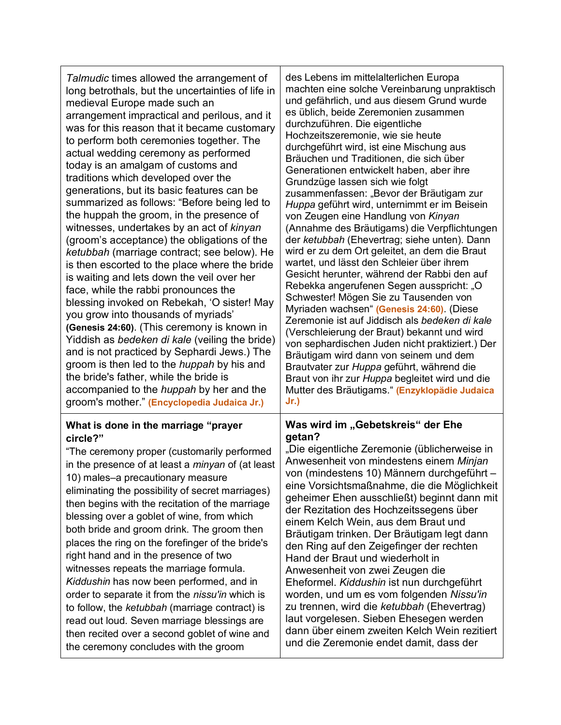| Talmudic times allowed the arrangement of<br>long betrothals, but the uncertainties of life in<br>medieval Europe made such an<br>arrangement impractical and perilous, and it<br>was for this reason that it became customary<br>to perform both ceremonies together. The<br>actual wedding ceremony as performed<br>today is an amalgam of customs and<br>traditions which developed over the<br>generations, but its basic features can be<br>summarized as follows: "Before being led to<br>the huppah the groom, in the presence of<br>witnesses, undertakes by an act of kinyan<br>(groom's acceptance) the obligations of the<br>ketubbah (marriage contract; see below). He<br>is then escorted to the place where the bride<br>is waiting and lets down the veil over her<br>face, while the rabbi pronounces the<br>blessing invoked on Rebekah, 'O sister! May<br>you grow into thousands of myriads'<br>(Genesis 24:60). (This ceremony is known in<br>Yiddish as bedeken di kale (veiling the bride)<br>and is not practiced by Sephardi Jews.) The<br>groom is then led to the <i>huppah</i> by his and<br>the bride's father, while the bride is<br>accompanied to the <i>huppah</i> by her and the<br>groom's mother." (Encyclopedia Judaica Jr.) | des Lebens im mittelalterlichen Europa<br>machten eine solche Vereinbarung unpraktisch<br>und gefährlich, und aus diesem Grund wurde<br>es üblich, beide Zeremonien zusammen<br>durchzuführen. Die eigentliche<br>Hochzeitszeremonie, wie sie heute<br>durchgeführt wird, ist eine Mischung aus<br>Bräuchen und Traditionen, die sich über<br>Generationen entwickelt haben, aber ihre<br>Grundzüge lassen sich wie folgt<br>zusammenfassen: "Bevor der Bräutigam zur<br>Huppa geführt wird, unternimmt er im Beisein<br>von Zeugen eine Handlung von Kinyan<br>(Annahme des Bräutigams) die Verpflichtungen<br>der ketubbah (Ehevertrag; siehe unten). Dann<br>wird er zu dem Ort geleitet, an dem die Braut<br>wartet, und lässt den Schleier über ihrem<br>Gesicht herunter, während der Rabbi den auf<br>Rebekka angerufenen Segen ausspricht: "O<br>Schwester! Mögen Sie zu Tausenden von<br>Myriaden wachsen" (Genesis 24:60). (Diese<br>Zeremonie ist auf Jiddisch als bedeken di kale<br>(Verschleierung der Braut) bekannt und wird<br>von sephardischen Juden nicht praktiziert.) Der<br>Bräutigam wird dann von seinem und dem<br>Brautvater zur Huppa geführt, während die<br>Braut von ihr zur Huppa begleitet wird und die<br>Mutter des Bräutigams." (Enzyklopädie Judaica<br>Jr. |
|-------------------------------------------------------------------------------------------------------------------------------------------------------------------------------------------------------------------------------------------------------------------------------------------------------------------------------------------------------------------------------------------------------------------------------------------------------------------------------------------------------------------------------------------------------------------------------------------------------------------------------------------------------------------------------------------------------------------------------------------------------------------------------------------------------------------------------------------------------------------------------------------------------------------------------------------------------------------------------------------------------------------------------------------------------------------------------------------------------------------------------------------------------------------------------------------------------------------------------------------------------------------|--------------------------------------------------------------------------------------------------------------------------------------------------------------------------------------------------------------------------------------------------------------------------------------------------------------------------------------------------------------------------------------------------------------------------------------------------------------------------------------------------------------------------------------------------------------------------------------------------------------------------------------------------------------------------------------------------------------------------------------------------------------------------------------------------------------------------------------------------------------------------------------------------------------------------------------------------------------------------------------------------------------------------------------------------------------------------------------------------------------------------------------------------------------------------------------------------------------------------------------------------------------------------------------------------|
| What is done in the marriage "prayer<br>circle?"<br>"The ceremony proper (customarily performed<br>in the presence of at least a <i>minyan</i> of (at least<br>10) males-a precautionary measure<br>eliminating the possibility of secret marriages)<br>then begins with the recitation of the marriage<br>blessing over a goblet of wine, from which<br>both bride and groom drink. The groom then<br>places the ring on the forefinger of the bride's<br>right hand and in the presence of two<br>witnesses repeats the marriage formula.<br>Kiddushin has now been performed, and in<br>order to separate it from the nissu'in which is<br>to follow, the ketubbah (marriage contract) is<br>read out loud. Seven marriage blessings are<br>then recited over a second goblet of wine and<br>the ceremony concludes with the groom                                                                                                                                                                                                                                                                                                                                                                                                                             | Was wird im "Gebetskreis" der Ehe<br>getan?<br>"Die eigentliche Zeremonie (üblicherweise in<br>Anwesenheit von mindestens einem Minjan<br>von (mindestens 10) Männern durchgeführt -<br>eine Vorsichtsmaßnahme, die die Möglichkeit<br>geheimer Ehen ausschließt) beginnt dann mit<br>der Rezitation des Hochzeitssegens über<br>einem Kelch Wein, aus dem Braut und<br>Bräutigam trinken. Der Bräutigam legt dann<br>den Ring auf den Zeigefinger der rechten<br>Hand der Braut und wiederholt in<br>Anwesenheit von zwei Zeugen die<br>Eheformel. Kiddushin ist nun durchgeführt<br>worden, und um es vom folgenden Nissu'in<br>zu trennen, wird die ketubbah (Ehevertrag)<br>laut vorgelesen. Sieben Ehesegen werden<br>dann über einem zweiten Kelch Wein rezitiert<br>und die Zeremonie endet damit, dass der                                                                                                                                                                                                                                                                                                                                                                                                                                                                               |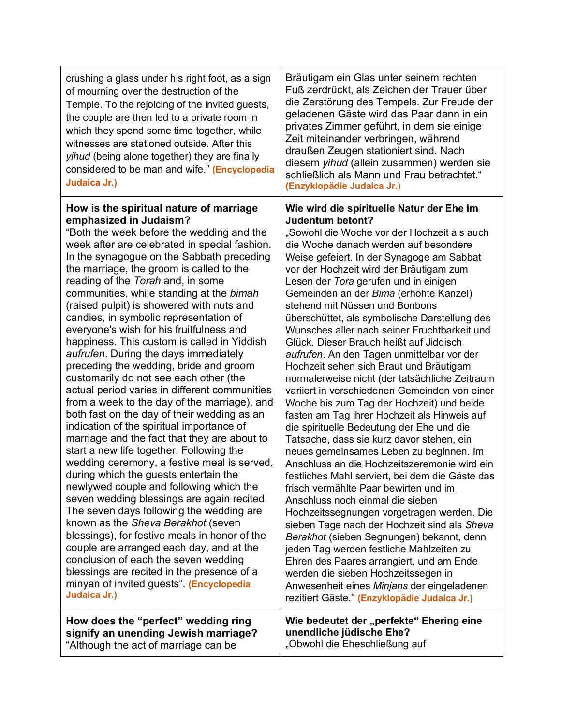| crushing a glass under his right foot, as a sign<br>of mourning over the destruction of the<br>Temple. To the rejoicing of the invited guests,<br>the couple are then led to a private room in<br>which they spend some time together, while<br>witnesses are stationed outside. After this<br>yihud (being alone together) they are finally<br>considered to be man and wife." (Encyclopedia<br>Judaica Jr.) | Bräutigam ein Glas unter seinem rechten<br>Fuß zerdrückt, als Zeichen der Trauer über<br>die Zerstörung des Tempels. Zur Freude der<br>geladenen Gäste wird das Paar dann in ein<br>privates Zimmer geführt, in dem sie einige<br>Zeit miteinander verbringen, während<br>draußen Zeugen stationiert sind. Nach<br>diesem yihud (allein zusammen) werden sie<br>schließlich als Mann und Frau betrachtet."<br>(Enzyklopädie Judaica Jr.) |
|---------------------------------------------------------------------------------------------------------------------------------------------------------------------------------------------------------------------------------------------------------------------------------------------------------------------------------------------------------------------------------------------------------------|------------------------------------------------------------------------------------------------------------------------------------------------------------------------------------------------------------------------------------------------------------------------------------------------------------------------------------------------------------------------------------------------------------------------------------------|
| How is the spiritual nature of marriage                                                                                                                                                                                                                                                                                                                                                                       | Wie wird die spirituelle Natur der Ehe im                                                                                                                                                                                                                                                                                                                                                                                                |
| emphasized in Judaism?                                                                                                                                                                                                                                                                                                                                                                                        | Judentum betont?                                                                                                                                                                                                                                                                                                                                                                                                                         |
| "Both the week before the wedding and the                                                                                                                                                                                                                                                                                                                                                                     | "Sowohl die Woche vor der Hochzeit als auch                                                                                                                                                                                                                                                                                                                                                                                              |
| week after are celebrated in special fashion.                                                                                                                                                                                                                                                                                                                                                                 | die Woche danach werden auf besondere                                                                                                                                                                                                                                                                                                                                                                                                    |
| In the synagogue on the Sabbath preceding                                                                                                                                                                                                                                                                                                                                                                     | Weise gefeiert. In der Synagoge am Sabbat                                                                                                                                                                                                                                                                                                                                                                                                |
| the marriage, the groom is called to the                                                                                                                                                                                                                                                                                                                                                                      | vor der Hochzeit wird der Bräutigam zum                                                                                                                                                                                                                                                                                                                                                                                                  |
| reading of the Torah and, in some                                                                                                                                                                                                                                                                                                                                                                             | Lesen der Tora gerufen und in einigen                                                                                                                                                                                                                                                                                                                                                                                                    |
| communities, while standing at the bimah                                                                                                                                                                                                                                                                                                                                                                      | Gemeinden an der Bima (erhöhte Kanzel)                                                                                                                                                                                                                                                                                                                                                                                                   |
| (raised pulpit) is showered with nuts and                                                                                                                                                                                                                                                                                                                                                                     | stehend mit Nüssen und Bonbons                                                                                                                                                                                                                                                                                                                                                                                                           |
| candies, in symbolic representation of                                                                                                                                                                                                                                                                                                                                                                        | überschüttet, als symbolische Darstellung des                                                                                                                                                                                                                                                                                                                                                                                            |
| everyone's wish for his fruitfulness and                                                                                                                                                                                                                                                                                                                                                                      | Wunsches aller nach seiner Fruchtbarkeit und                                                                                                                                                                                                                                                                                                                                                                                             |
| happiness. This custom is called in Yiddish                                                                                                                                                                                                                                                                                                                                                                   | Glück. Dieser Brauch heißt auf Jiddisch                                                                                                                                                                                                                                                                                                                                                                                                  |
| <i>aufrufen</i> . During the days immediately                                                                                                                                                                                                                                                                                                                                                                 | aufrufen. An den Tagen unmittelbar vor der                                                                                                                                                                                                                                                                                                                                                                                               |
| preceding the wedding, bride and groom                                                                                                                                                                                                                                                                                                                                                                        | Hochzeit sehen sich Braut und Bräutigam                                                                                                                                                                                                                                                                                                                                                                                                  |
| customarily do not see each other (the                                                                                                                                                                                                                                                                                                                                                                        | normalerweise nicht (der tatsächliche Zeitraum                                                                                                                                                                                                                                                                                                                                                                                           |
| actual period varies in different communities                                                                                                                                                                                                                                                                                                                                                                 | variiert in verschiedenen Gemeinden von einer                                                                                                                                                                                                                                                                                                                                                                                            |
| from a week to the day of the marriage), and                                                                                                                                                                                                                                                                                                                                                                  | Woche bis zum Tag der Hochzeit) und beide                                                                                                                                                                                                                                                                                                                                                                                                |
| both fast on the day of their wedding as an                                                                                                                                                                                                                                                                                                                                                                   | fasten am Tag ihrer Hochzeit als Hinweis auf                                                                                                                                                                                                                                                                                                                                                                                             |
| indication of the spiritual importance of                                                                                                                                                                                                                                                                                                                                                                     | die spirituelle Bedeutung der Ehe und die                                                                                                                                                                                                                                                                                                                                                                                                |
| marriage and the fact that they are about to                                                                                                                                                                                                                                                                                                                                                                  | Tatsache, dass sie kurz davor stehen, ein                                                                                                                                                                                                                                                                                                                                                                                                |
| start a new life together. Following the                                                                                                                                                                                                                                                                                                                                                                      | neues gemeinsames Leben zu beginnen. Im                                                                                                                                                                                                                                                                                                                                                                                                  |
| wedding ceremony, a festive meal is served,                                                                                                                                                                                                                                                                                                                                                                   | Anschluss an die Hochzeitszeremonie wird ein                                                                                                                                                                                                                                                                                                                                                                                             |
| during which the guests entertain the                                                                                                                                                                                                                                                                                                                                                                         | festliches Mahl serviert, bei dem die Gäste das                                                                                                                                                                                                                                                                                                                                                                                          |
| newlywed couple and following which the                                                                                                                                                                                                                                                                                                                                                                       | frisch vermählte Paar bewirten und im                                                                                                                                                                                                                                                                                                                                                                                                    |
| seven wedding blessings are again recited.                                                                                                                                                                                                                                                                                                                                                                    | Anschluss noch einmal die sieben                                                                                                                                                                                                                                                                                                                                                                                                         |
| The seven days following the wedding are                                                                                                                                                                                                                                                                                                                                                                      | Hochzeitssegnungen vorgetragen werden. Die                                                                                                                                                                                                                                                                                                                                                                                               |
| known as the Sheva Berakhot (seven                                                                                                                                                                                                                                                                                                                                                                            | sieben Tage nach der Hochzeit sind als Sheva                                                                                                                                                                                                                                                                                                                                                                                             |
| blessings), for festive meals in honor of the                                                                                                                                                                                                                                                                                                                                                                 | Berakhot (sieben Segnungen) bekannt, denn                                                                                                                                                                                                                                                                                                                                                                                                |
| couple are arranged each day, and at the                                                                                                                                                                                                                                                                                                                                                                      | jeden Tag werden festliche Mahlzeiten zu                                                                                                                                                                                                                                                                                                                                                                                                 |
| conclusion of each the seven wedding                                                                                                                                                                                                                                                                                                                                                                          | Ehren des Paares arrangiert, und am Ende                                                                                                                                                                                                                                                                                                                                                                                                 |
| blessings are recited in the presence of a                                                                                                                                                                                                                                                                                                                                                                    | werden die sieben Hochzeitssegen in                                                                                                                                                                                                                                                                                                                                                                                                      |
| minyan of invited guests". (Encyclopedia                                                                                                                                                                                                                                                                                                                                                                      | Anwesenheit eines Minjans der eingeladenen                                                                                                                                                                                                                                                                                                                                                                                               |
| Judaica Jr.)                                                                                                                                                                                                                                                                                                                                                                                                  | rezitiert Gäste." (Enzyklopädie Judaica Jr.)                                                                                                                                                                                                                                                                                                                                                                                             |
| How does the "perfect" wedding ring                                                                                                                                                                                                                                                                                                                                                                           | Wie bedeutet der "perfekte" Ehering eine                                                                                                                                                                                                                                                                                                                                                                                                 |
| signify an unending Jewish marriage?                                                                                                                                                                                                                                                                                                                                                                          | unendliche jüdische Ehe?                                                                                                                                                                                                                                                                                                                                                                                                                 |
| "Although the act of marriage can be                                                                                                                                                                                                                                                                                                                                                                          | "Obwohl die Eheschließung auf                                                                                                                                                                                                                                                                                                                                                                                                            |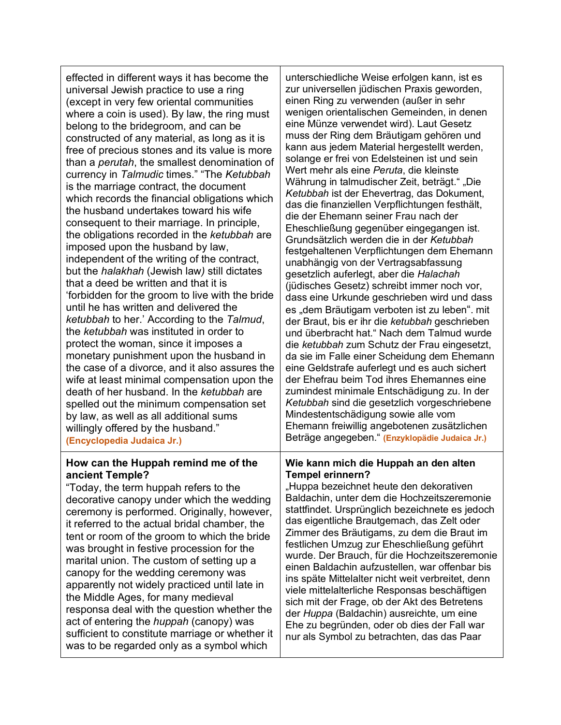effected in different ways it has become the universal Jewish practice to use a ring (except in very few oriental communities where a coin is used). By law, the ring must belong to the bridegroom, and can be constructed of any material, as long as it is free of precious stones and its value is more than a *perutah*, the smallest denomination of currency in *Talmudic* times." "The *Ketubbah* is the marriage contract, the document which records the financial obligations which the husband undertakes toward his wife consequent to their marriage. In principle, the obligations recorded in the *ketubbah* are imposed upon the husband by law, independent of the writing of the contract, but the *halakhah* (Jewish law*)* still dictates that a deed be written and that it is 'forbidden for the groom to live with the bride until he has written and delivered the *ketubbah* to her.' According to the *Talmud*, the *ketubbah* was instituted in order to protect the woman, since it imposes a monetary punishment upon the husband in the case of a divorce, and it also assures the wife at least minimal compensation upon the death of her husband. In the *ketubbah* are spelled out the minimum compensation set by law, as well as all additional sums willingly offered by the husband." **(Encyclopedia Judaica Jr.)**

### **How can the Huppah remind me of the ancient Temple?**

"Today, the term huppah refers to the decorative canopy under which the wedding ceremony is performed. Originally, however, it referred to the actual bridal chamber, the tent or room of the groom to which the bride was brought in festive procession for the marital union. The custom of setting up a canopy for the wedding ceremony was apparently not widely practiced until late in the Middle Ages, for many medieval responsa deal with the question whether the act of entering the *huppah* (canopy) was sufficient to constitute marriage or whether it was to be regarded only as a symbol which

unterschiedliche Weise erfolgen kann, ist es zur universellen jüdischen Praxis geworden, einen Ring zu verwenden (außer in sehr wenigen orientalischen Gemeinden, in denen eine Münze verwendet wird). Laut Gesetz muss der Ring dem Bräutigam gehören und kann aus jedem Material hergestellt werden, solange er frei von Edelsteinen ist und sein Wert mehr als eine *Peruta*, die kleinste Währung in talmudischer Zeit, beträgt." "Die *Ketubbah* ist der Ehevertrag, das Dokument, das die finanziellen Verpflichtungen festhält, die der Ehemann seiner Frau nach der Eheschließung gegenüber eingegangen ist. Grundsätzlich werden die in der *Ketubbah* festgehaltenen Verpflichtungen dem Ehemann unabhängig von der Vertragsabfassung gesetzlich auferlegt, aber die *Halachah* (jüdisches Gesetz) schreibt immer noch vor, dass eine Urkunde geschrieben wird und dass es "dem Bräutigam verboten ist zu leben". mit der Braut, bis er ihr die *ketubbah* geschrieben und überbracht hat." Nach dem Talmud wurde die *ketubbah* zum Schutz der Frau eingesetzt, da sie im Falle einer Scheidung dem Ehemann eine Geldstrafe auferlegt und es auch sichert der Ehefrau beim Tod ihres Ehemannes eine zumindest minimale Entschädigung zu. In der *Ketubbah* sind die gesetzlich vorgeschriebene Mindestentschädigung sowie alle vom Ehemann freiwillig angebotenen zusätzlichen Beträge angegeben." **(Enzyklopädie Judaica Jr.)**

### **Wie kann mich die Huppah an den alten Tempel erinnern?**

"Huppa bezeichnet heute den dekorativen Baldachin, unter dem die Hochzeitszeremonie stattfindet. Ursprünglich bezeichnete es jedoch das eigentliche Brautgemach, das Zelt oder Zimmer des Bräutigams, zu dem die Braut im festlichen Umzug zur Eheschließung geführt wurde. Der Brauch, für die Hochzeitszeremonie einen Baldachin aufzustellen, war offenbar bis ins späte Mittelalter nicht weit verbreitet, denn viele mittelalterliche Responsas beschäftigen sich mit der Frage, ob der Akt des Betretens der *Huppa* (Baldachin) ausreichte, um eine Ehe zu begründen, oder ob dies der Fall war nur als Symbol zu betrachten, das das Paar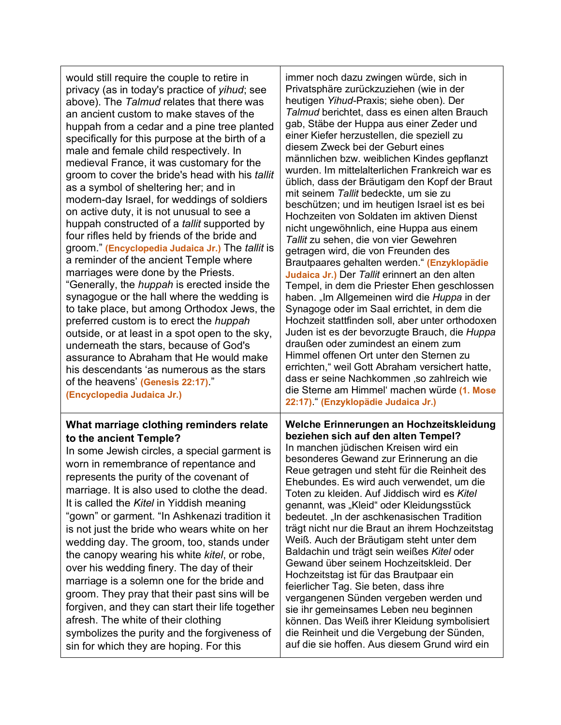| would still require the couple to retire in<br>privacy (as in today's practice of <i>yihud</i> ; see<br>above). The Talmud relates that there was<br>an ancient custom to make staves of the<br>huppah from a cedar and a pine tree planted<br>specifically for this purpose at the birth of a<br>male and female child respectively. In<br>medieval France, it was customary for the<br>groom to cover the bride's head with his tallit<br>as a symbol of sheltering her; and in<br>modern-day Israel, for weddings of soldiers<br>on active duty, it is not unusual to see a<br>huppah constructed of a <i>tallit</i> supported by<br>four rifles held by friends of the bride and<br>groom." (Encyclopedia Judaica Jr.) The tallit is<br>a reminder of the ancient Temple where<br>marriages were done by the Priests.<br>"Generally, the <i>huppah</i> is erected inside the<br>synagogue or the hall where the wedding is<br>to take place, but among Orthodox Jews, the<br>preferred custom is to erect the <i>huppah</i><br>outside, or at least in a spot open to the sky,<br>underneath the stars, because of God's<br>assurance to Abraham that He would make<br>his descendants 'as numerous as the stars<br>of the heavens' (Genesis 22:17)"<br>(Encyclopedia Judaica Jr.) | immer noch dazu zwingen würde, sich in<br>Privatsphäre zurückzuziehen (wie in der<br>heutigen Yihud-Praxis; siehe oben). Der<br>Talmud berichtet, dass es einen alten Brauch<br>gab, Stäbe der Huppa aus einer Zeder und<br>einer Kiefer herzustellen, die speziell zu<br>diesem Zweck bei der Geburt eines<br>männlichen bzw. weiblichen Kindes gepflanzt<br>wurden. Im mittelalterlichen Frankreich war es<br>üblich, dass der Bräutigam den Kopf der Braut<br>mit seinem Tallit bedeckte, um sie zu<br>beschützen; und im heutigen Israel ist es bei<br>Hochzeiten von Soldaten im aktiven Dienst<br>nicht ungewöhnlich, eine Huppa aus einem<br>Tallit zu sehen, die von vier Gewehren<br>getragen wird, die von Freunden des<br>Brautpaares gehalten werden." (Enzyklopädie<br>Judaica Jr.) Der Tallit erinnert an den alten<br>Tempel, in dem die Priester Ehen geschlossen<br>haben. "Im Allgemeinen wird die Huppa in der<br>Synagoge oder im Saal errichtet, in dem die<br>Hochzeit stattfinden soll, aber unter orthodoxen<br>Juden ist es der bevorzugte Brauch, die Huppa<br>draußen oder zumindest an einem zum<br>Himmel offenen Ort unter den Sternen zu<br>errichten," weil Gott Abraham versichert hatte,<br>dass er seine Nachkommen , so zahlreich wie<br>die Sterne am Himmel' machen würde (1. Mose<br>22:17) " (Enzyklopädie Judaica Jr.) |
|----------------------------------------------------------------------------------------------------------------------------------------------------------------------------------------------------------------------------------------------------------------------------------------------------------------------------------------------------------------------------------------------------------------------------------------------------------------------------------------------------------------------------------------------------------------------------------------------------------------------------------------------------------------------------------------------------------------------------------------------------------------------------------------------------------------------------------------------------------------------------------------------------------------------------------------------------------------------------------------------------------------------------------------------------------------------------------------------------------------------------------------------------------------------------------------------------------------------------------------------------------------------------------------|-----------------------------------------------------------------------------------------------------------------------------------------------------------------------------------------------------------------------------------------------------------------------------------------------------------------------------------------------------------------------------------------------------------------------------------------------------------------------------------------------------------------------------------------------------------------------------------------------------------------------------------------------------------------------------------------------------------------------------------------------------------------------------------------------------------------------------------------------------------------------------------------------------------------------------------------------------------------------------------------------------------------------------------------------------------------------------------------------------------------------------------------------------------------------------------------------------------------------------------------------------------------------------------------------------------------------------------------------------------------|
| What marriage clothing reminders relate<br>to the ancient Temple?<br>In some Jewish circles, a special garment is<br>worn in remembrance of repentance and<br>represents the purity of the covenant of<br>marriage. It is also used to clothe the dead.<br>It is called the Kitel in Yiddish meaning<br>"gown" or garment. "In Ashkenazi tradition it<br>is not just the bride who wears white on her<br>wedding day. The groom, too, stands under<br>the canopy wearing his white kitel, or robe,<br>over his wedding finery. The day of their<br>marriage is a solemn one for the bride and<br>groom. They pray that their past sins will be<br>forgiven, and they can start their life together<br>afresh. The white of their clothing<br>symbolizes the purity and the forgiveness of<br>sin for which they are hoping. For this                                                                                                                                                                                                                                                                                                                                                                                                                                                   | Welche Erinnerungen an Hochzeitskleidung<br>beziehen sich auf den alten Tempel?<br>In manchen jüdischen Kreisen wird ein<br>besonderes Gewand zur Erinnerung an die<br>Reue getragen und steht für die Reinheit des<br>Ehebundes. Es wird auch verwendet, um die<br>Toten zu kleiden. Auf Jiddisch wird es Kitel<br>genannt, was "Kleid" oder Kleidungsstück<br>bedeutet. "In der aschkenasischen Tradition<br>trägt nicht nur die Braut an ihrem Hochzeitstag<br>Weiß. Auch der Bräutigam steht unter dem<br>Baldachin und trägt sein weißes Kitel oder<br>Gewand über seinem Hochzeitskleid. Der<br>Hochzeitstag ist für das Brautpaar ein<br>feierlicher Tag. Sie beten, dass ihre<br>vergangenen Sünden vergeben werden und<br>sie ihr gemeinsames Leben neu beginnen<br>können. Das Weiß ihrer Kleidung symbolisiert<br>die Reinheit und die Vergebung der Sünden,<br>auf die sie hoffen. Aus diesem Grund wird ein                                                                                                                                                                                                                                                                                                                                                                                                                                        |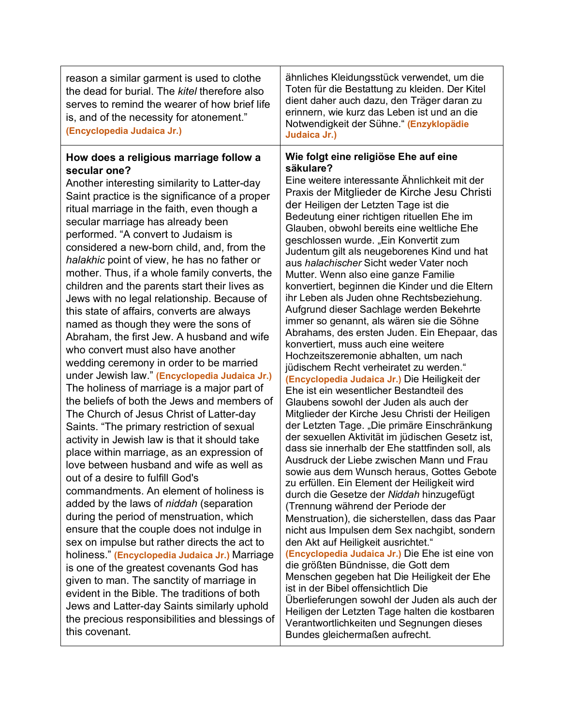| reason a similar garment is used to clothe<br>the dead for burial. The kitel therefore also<br>serves to remind the wearer of how brief life<br>is, and of the necessity for atonement."<br>(Encyclopedia Judaica Jr.)                                                                                                                                                                                                                                                                                                                                                                                                                                                                                                                                                                                                                                                                                                                                                                                                                                                                                                                                                                                                                                                                                                                                                                                                                                                                                                                                                                                                                                                                                                        | ähnliches Kleidungsstück verwendet, um die<br>Toten für die Bestattung zu kleiden. Der Kitel<br>dient daher auch dazu, den Träger daran zu<br>erinnern, wie kurz das Leben ist und an die<br>Notwendigkeit der Sühne." (Enzyklopädie<br>Judaica Jr.)                                                                                                                                                                                                                                                                                                                                                                                                                                                                                                                                                                                                                                                                                                                                                                                                                                                                                                                                                                                                                                                                                                                                                                                                                                                                                                                                                                                                                                                                                                                                                                                                                                                                             |
|-------------------------------------------------------------------------------------------------------------------------------------------------------------------------------------------------------------------------------------------------------------------------------------------------------------------------------------------------------------------------------------------------------------------------------------------------------------------------------------------------------------------------------------------------------------------------------------------------------------------------------------------------------------------------------------------------------------------------------------------------------------------------------------------------------------------------------------------------------------------------------------------------------------------------------------------------------------------------------------------------------------------------------------------------------------------------------------------------------------------------------------------------------------------------------------------------------------------------------------------------------------------------------------------------------------------------------------------------------------------------------------------------------------------------------------------------------------------------------------------------------------------------------------------------------------------------------------------------------------------------------------------------------------------------------------------------------------------------------|----------------------------------------------------------------------------------------------------------------------------------------------------------------------------------------------------------------------------------------------------------------------------------------------------------------------------------------------------------------------------------------------------------------------------------------------------------------------------------------------------------------------------------------------------------------------------------------------------------------------------------------------------------------------------------------------------------------------------------------------------------------------------------------------------------------------------------------------------------------------------------------------------------------------------------------------------------------------------------------------------------------------------------------------------------------------------------------------------------------------------------------------------------------------------------------------------------------------------------------------------------------------------------------------------------------------------------------------------------------------------------------------------------------------------------------------------------------------------------------------------------------------------------------------------------------------------------------------------------------------------------------------------------------------------------------------------------------------------------------------------------------------------------------------------------------------------------------------------------------------------------------------------------------------------------|
| How does a religious marriage follow a<br>secular one?<br>Another interesting similarity to Latter-day<br>Saint practice is the significance of a proper<br>ritual marriage in the faith, even though a<br>secular marriage has already been<br>performed. "A convert to Judaism is<br>considered a new-born child, and, from the<br>halakhic point of view, he has no father or<br>mother. Thus, if a whole family converts, the<br>children and the parents start their lives as<br>Jews with no legal relationship. Because of<br>this state of affairs, converts are always<br>named as though they were the sons of<br>Abraham, the first Jew. A husband and wife<br>who convert must also have another<br>wedding ceremony in order to be married<br>under Jewish law." (Encyclopedia Judaica Jr.)<br>The holiness of marriage is a major part of<br>the beliefs of both the Jews and members of<br>The Church of Jesus Christ of Latter-day<br>Saints. "The primary restriction of sexual<br>activity in Jewish law is that it should take<br>place within marriage, as an expression of<br>love between husband and wife as well as<br>out of a desire to fulfill God's<br>commandments. An element of holiness is<br>added by the laws of niddah (separation<br>during the period of menstruation, which<br>ensure that the couple does not indulge in<br>sex on impulse but rather directs the act to<br>holiness." (Encyclopedia Judaica Jr.) Marriage<br>is one of the greatest covenants God has<br>given to man. The sanctity of marriage in<br>evident in the Bible. The traditions of both<br>Jews and Latter-day Saints similarly uphold<br>the precious responsibilities and blessings of<br>this covenant. | Wie folgt eine religiöse Ehe auf eine<br>säkulare?<br>Eine weitere interessante Ähnlichkeit mit der<br>Praxis der Mitglieder de Kirche Jesu Christi<br>der Heiligen der Letzten Tage ist die<br>Bedeutung einer richtigen rituellen Ehe im<br>Glauben, obwohl bereits eine weltliche Ehe<br>geschlossen wurde. "Ein Konvertit zum<br>Judentum gilt als neugeborenes Kind und hat<br>aus halachischer Sicht weder Vater noch<br>Mutter. Wenn also eine ganze Familie<br>konvertiert, beginnen die Kinder und die Eltern<br>ihr Leben als Juden ohne Rechtsbeziehung.<br>Aufgrund dieser Sachlage werden Bekehrte<br>immer so genannt, als wären sie die Söhne<br>Abrahams, des ersten Juden. Ein Ehepaar, das<br>konvertiert, muss auch eine weitere<br>Hochzeitszeremonie abhalten, um nach<br>jüdischem Recht verheiratet zu werden."<br>(Encyclopedia Judaica Jr.) Die Heiligkeit der<br>Ehe ist ein wesentlicher Bestandteil des<br>Glaubens sowohl der Juden als auch der<br>Mitglieder der Kirche Jesu Christi der Heiligen<br>der Letzten Tage. "Die primäre Einschränkung<br>der sexuellen Aktivität im jüdischen Gesetz ist,<br>dass sie innerhalb der Ehe stattfinden soll, als<br>Ausdruck der Liebe zwischen Mann und Frau<br>sowie aus dem Wunsch heraus, Gottes Gebote<br>zu erfüllen. Ein Element der Heiligkeit wird<br>durch die Gesetze der Niddah hinzugefügt<br>(Trennung während der Periode der<br>Menstruation), die sicherstellen, dass das Paar<br>nicht aus Impulsen dem Sex nachgibt, sondern<br>den Akt auf Heiligkeit ausrichtet."<br>(Encyclopedia Judaica Jr.) Die Ehe ist eine von<br>die größten Bündnisse, die Gott dem<br>Menschen gegeben hat Die Heiligkeit der Ehe<br>ist in der Bibel offensichtlich Die<br>Überlieferungen sowohl der Juden als auch der<br>Heiligen der Letzten Tage halten die kostbaren<br>Verantwortlichkeiten und Segnungen dieses<br>Bundes gleichermaßen aufrecht. |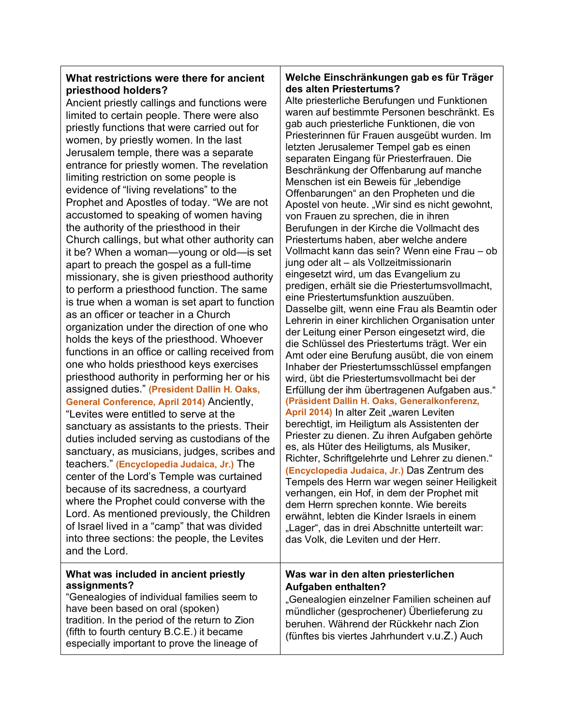# **What restrictions were there for ancient priesthood holders?**

Ancient priestly callings and functions were limited to certain people. There were also priestly functions that were carried out for women, by priestly women. In the last Jerusalem temple, there was a separate entrance for priestly women. The revelation limiting restriction on some people is evidence of "living revelations" to the Prophet and Apostles of today. "We are not accustomed to speaking of women having the authority of the priesthood in their Church callings, but what other authority can it be? When a woman—young or old—is set apart to preach the gospel as a full-time missionary, she is given priesthood authority to perform a priesthood function. The same is true when a woman is set apart to function as an officer or teacher in a Church organization under the direction of one who holds the keys of the priesthood. Whoever functions in an office or calling received from one who holds priesthood keys exercises priesthood authority in performing her or his assigned duties." **(President Dallin H. Oaks, General Conference, April 2014)** Anciently, "Levites were entitled to serve at the sanctuary as assistants to the priests. Their duties included serving as custodians of the sanctuary, as musicians, judges, scribes and teachers." **(Encyclopedia Judaica, Jr.)** The center of the Lord's Temple was curtained because of its sacredness, a courtyard where the Prophet could converse with the Lord. As mentioned previously, the Children of Israel lived in a "camp" that was divided into three sections: the people, the Levites and the Lord.

### **What was included in ancient priestly assignments?**

"Genealogies of individual families seem to have been based on oral (spoken) tradition. In the period of the return to Zion (fifth to fourth century B.C.E.) it became especially important to prove the lineage of

## **Welche Einschränkungen gab es für Träger des alten Priestertums?**

Alte priesterliche Berufungen und Funktionen waren auf bestimmte Personen beschränkt. Es gab auch priesterliche Funktionen, die von Priesterinnen für Frauen ausgeübt wurden. Im letzten Jerusalemer Tempel gab es einen separaten Eingang für Priesterfrauen. Die Beschränkung der Offenbarung auf manche Menschen ist ein Beweis für "lebendige Offenbarungen" an den Propheten und die Apostel von heute. "Wir sind es nicht gewohnt, von Frauen zu sprechen, die in ihren Berufungen in der Kirche die Vollmacht des Priestertums haben, aber welche andere Vollmacht kann das sein? Wenn eine Frau – ob jung oder alt – als Vollzeitmissionarin eingesetzt wird, um das Evangelium zu predigen, erhält sie die Priestertumsvollmacht, eine Priestertumsfunktion auszuüben. Dasselbe gilt, wenn eine Frau als Beamtin oder Lehrerin in einer kirchlichen Organisation unter der Leitung einer Person eingesetzt wird, die die Schlüssel des Priestertums trägt. Wer ein Amt oder eine Berufung ausübt, die von einem Inhaber der Priestertumsschlüssel empfangen wird, übt die Priestertumsvollmacht bei der Erfüllung der ihm übertragenen Aufgaben aus." **(Präsident Dallin H. Oaks, Generalkonferenz, April 2014)** In alter Zeit "waren Leviten berechtigt, im Heiligtum als Assistenten der Priester zu dienen. Zu ihren Aufgaben gehörte es, als Hüter des Heiligtums, als Musiker, Richter, Schriftgelehrte und Lehrer zu dienen." **(Encyclopedia Judaica, Jr.)** Das Zentrum des Tempels des Herrn war wegen seiner Heiligkeit verhangen, ein Hof, in dem der Prophet mit dem Herrn sprechen konnte. Wie bereits erwähnt, lebten die Kinder Israels in einem "Lager", das in drei Abschnitte unterteilt war: das Volk, die Leviten und der Herr.

### **Was war in den alten priesterlichen Aufgaben enthalten?**

"Genealogien einzelner Familien scheinen auf mündlicher (gesprochener) Überlieferung zu beruhen. Während der Rückkehr nach Zion (fünftes bis viertes Jahrhundert v.u.Z.) Auch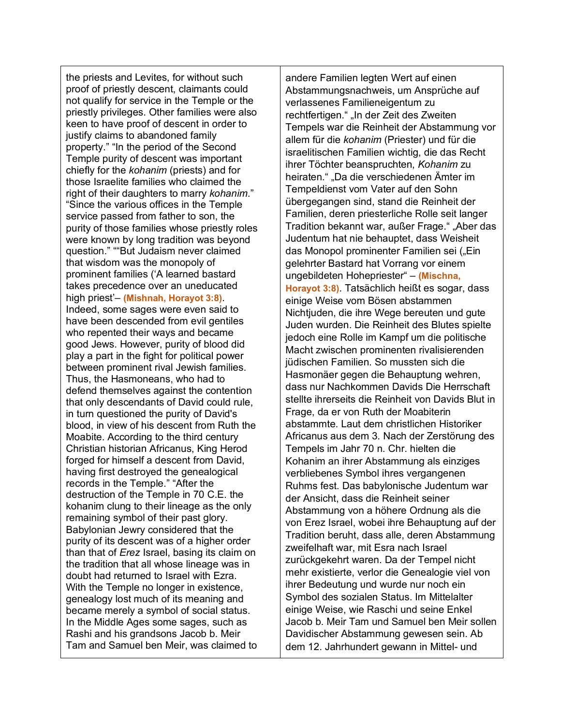the priests and Levites, for without such proof of priestly descent, claimants could not qualify for service in the Temple or the priestly privileges. Other families were also keen to have proof of descent in order to justify claims to abandoned family property." "In the period of the Second Temple purity of descent was important chiefly for the *kohanim* (priests) and for those Israelite families who claimed the right of their daughters to marry *kohanim*." "Since the various offices in the Temple service passed from father to son, the purity of those families whose priestly roles were known by long tradition was beyond question." ""But Judaism never claimed that wisdom was the monopoly of prominent families ('A learned bastard takes precedence over an uneducated high priest'– **(Mishnah, Horayot 3:8)**. Indeed, some sages were even said to have been descended from evil gentiles who repented their ways and became good Jews. However, purity of blood did play a part in the fight for political power between prominent rival Jewish families. Thus, the Hasmoneans, who had to defend themselves against the contention that only descendants of David could rule, in turn questioned the purity of David's blood, in view of his descent from Ruth the Moabite. According to the third century Christian historian Africanus, King Herod forged for himself a descent from David, having first destroyed the genealogical records in the Temple." "After the destruction of the Temple in 70 C.E. the kohanim clung to their lineage as the only remaining symbol of their past glory. Babylonian Jewry considered that the purity of its descent was of a higher order than that of *Erez* Israel, basing its claim on the tradition that all whose lineage was in doubt had returned to Israel with Ezra. With the Temple no longer in existence, genealogy lost much of its meaning and became merely a symbol of social status. In the Middle Ages some sages, such as Rashi and his grandsons Jacob b. Meir Tam and Samuel ben Meir, was claimed to

andere Familien legten Wert auf einen Abstammungsnachweis, um Ansprüche auf verlassenes Familieneigentum zu rechtfertigen." "In der Zeit des Zweiten Tempels war die Reinheit der Abstammung vor allem für die *kohanim* (Priester) und für die israelitischen Familien wichtig, die das Recht ihrer Töchter beanspruchten, *Kohanim* zu heiraten." "Da die verschiedenen Ämter im Tempeldienst vom Vater auf den Sohn übergegangen sind, stand die Reinheit der Familien, deren priesterliche Rolle seit langer Tradition bekannt war, außer Frage." "Aber das Judentum hat nie behauptet, dass Weisheit das Monopol prominenter Familien sei ("Ein gelehrter Bastard hat Vorrang vor einem ungebildeten Hohepriester" – **(Mischna, Horayot 3:8)**. Tatsächlich heißt es sogar, dass einige Weise vom Bösen abstammen Nichtjuden, die ihre Wege bereuten und gute Juden wurden. Die Reinheit des Blutes spielte jedoch eine Rolle im Kampf um die politische Macht zwischen prominenten rivalisierenden jüdischen Familien. So mussten sich die Hasmonäer gegen die Behauptung wehren, dass nur Nachkommen Davids Die Herrschaft stellte ihrerseits die Reinheit von Davids Blut in Frage, da er von Ruth der Moabiterin abstammte. Laut dem christlichen Historiker Africanus aus dem 3. Nach der Zerstörung des Tempels im Jahr 70 n. Chr. hielten die Kohanim an ihrer Abstammung als einziges verbliebenes Symbol ihres vergangenen Ruhms fest. Das babylonische Judentum war der Ansicht, dass die Reinheit seiner Abstammung von a höhere Ordnung als die von Erez Israel, wobei ihre Behauptung auf der Tradition beruht, dass alle, deren Abstammung zweifelhaft war, mit Esra nach Israel zurückgekehrt waren. Da der Tempel nicht mehr existierte, verlor die Genealogie viel von ihrer Bedeutung und wurde nur noch ein Symbol des sozialen Status. Im Mittelalter einige Weise, wie Raschi und seine Enkel Jacob b. Meir Tam und Samuel ben Meir sollen Davidischer Abstammung gewesen sein. Ab dem 12. Jahrhundert gewann in Mittel- und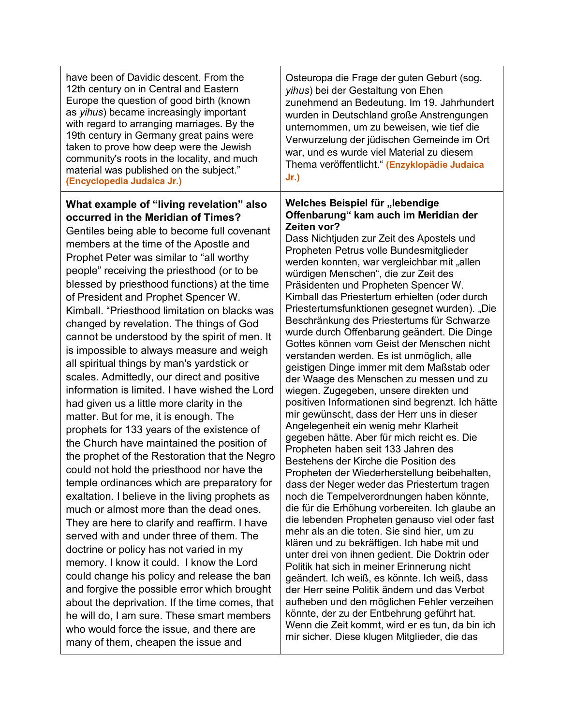| have been of Davidic descent. From the<br>12th century on in Central and Eastern<br>Europe the question of good birth (known<br>as yihus) became increasingly important<br>with regard to arranging marriages. By the<br>19th century in Germany great pains were<br>taken to prove how deep were the Jewish<br>community's roots in the locality, and much<br>material was published on the subject."<br>(Encyclopedia Judaica Jr.)                                                                                                                                                                                                                                                                                                                                                                                                                                                                                                                                                                                                                                                                                                                                                                                                                                                                                                                                                                                                                                                                                                                                                                   | Osteuropa die Frage der guten Geburt (sog.<br>yihus) bei der Gestaltung von Ehen<br>zunehmend an Bedeutung. Im 19. Jahrhundert<br>wurden in Deutschland große Anstrengungen<br>unternommen, um zu beweisen, wie tief die<br>Verwurzelung der jüdischen Gemeinde im Ort<br>war, und es wurde viel Material zu diesem<br>Thema veröffentlicht." (Enzyklopädie Judaica<br>Jr.)                                                                                                                                                                                                                                                                                                                                                                                                                                                                                                                                                                                                                                                                                                                                                                                                                                                                                                                                                                                                                                                                                                                                                                                                                                                                                                                                                                                           |
|--------------------------------------------------------------------------------------------------------------------------------------------------------------------------------------------------------------------------------------------------------------------------------------------------------------------------------------------------------------------------------------------------------------------------------------------------------------------------------------------------------------------------------------------------------------------------------------------------------------------------------------------------------------------------------------------------------------------------------------------------------------------------------------------------------------------------------------------------------------------------------------------------------------------------------------------------------------------------------------------------------------------------------------------------------------------------------------------------------------------------------------------------------------------------------------------------------------------------------------------------------------------------------------------------------------------------------------------------------------------------------------------------------------------------------------------------------------------------------------------------------------------------------------------------------------------------------------------------------|-----------------------------------------------------------------------------------------------------------------------------------------------------------------------------------------------------------------------------------------------------------------------------------------------------------------------------------------------------------------------------------------------------------------------------------------------------------------------------------------------------------------------------------------------------------------------------------------------------------------------------------------------------------------------------------------------------------------------------------------------------------------------------------------------------------------------------------------------------------------------------------------------------------------------------------------------------------------------------------------------------------------------------------------------------------------------------------------------------------------------------------------------------------------------------------------------------------------------------------------------------------------------------------------------------------------------------------------------------------------------------------------------------------------------------------------------------------------------------------------------------------------------------------------------------------------------------------------------------------------------------------------------------------------------------------------------------------------------------------------------------------------------|
| What example of "living revelation" also<br>occurred in the Meridian of Times?<br>Gentiles being able to become full covenant<br>members at the time of the Apostle and<br>Prophet Peter was similar to "all worthy<br>people" receiving the priesthood (or to be<br>blessed by priesthood functions) at the time<br>of President and Prophet Spencer W.<br>Kimball. "Priesthood limitation on blacks was<br>changed by revelation. The things of God<br>cannot be understood by the spirit of men. It<br>is impossible to always measure and weigh<br>all spiritual things by man's yardstick or<br>scales. Admittedly, our direct and positive<br>information is limited. I have wished the Lord<br>had given us a little more clarity in the<br>matter. But for me, it is enough. The<br>prophets for 133 years of the existence of<br>the Church have maintained the position of<br>the prophet of the Restoration that the Negro<br>could not hold the priesthood nor have the<br>temple ordinances which are preparatory for<br>exaltation. I believe in the living prophets as<br>much or almost more than the dead ones.<br>They are here to clarify and reaffirm. I have<br>served with and under three of them. The<br>doctrine or policy has not varied in my<br>memory. I know it could. I know the Lord<br>could change his policy and release the ban<br>and forgive the possible error which brought<br>about the deprivation. If the time comes, that<br>he will do, I am sure. These smart members<br>who would force the issue, and there are<br>many of them, cheapen the issue and | Welches Beispiel für "lebendige<br>Offenbarung" kam auch im Meridian der<br>Zeiten vor?<br>Dass Nichtjuden zur Zeit des Apostels und<br>Propheten Petrus volle Bundesmitglieder<br>werden konnten, war vergleichbar mit "allen<br>würdigen Menschen", die zur Zeit des<br>Präsidenten und Propheten Spencer W.<br>Kimball das Priestertum erhielten (oder durch<br>Priestertumsfunktionen gesegnet wurden). "Die<br>Beschränkung des Priestertums für Schwarze<br>wurde durch Offenbarung geändert. Die Dinge<br>Gottes können vom Geist der Menschen nicht<br>verstanden werden. Es ist unmöglich, alle<br>geistigen Dinge immer mit dem Maßstab oder<br>der Waage des Menschen zu messen und zu<br>wiegen. Zugegeben, unsere direkten und<br>positiven Informationen sind begrenzt. Ich hätte<br>mir gewünscht, dass der Herr uns in dieser<br>Angelegenheit ein wenig mehr Klarheit<br>gegeben hätte. Aber für mich reicht es. Die<br>Propheten haben seit 133 Jahren des<br>Bestehens der Kirche die Position des<br>Propheten der Wiederherstellung beibehalten,<br>dass der Neger weder das Priestertum tragen<br>noch die Tempelverordnungen haben könnte,<br>die für die Erhöhung vorbereiten. Ich glaube an<br>die lebenden Propheten genauso viel oder fast<br>mehr als an die toten. Sie sind hier, um zu<br>klären und zu bekräftigen. Ich habe mit und<br>unter drei von ihnen gedient. Die Doktrin oder<br>Politik hat sich in meiner Erinnerung nicht<br>geändert. Ich weiß, es könnte. Ich weiß, dass<br>der Herr seine Politik ändern und das Verbot<br>aufheben und den möglichen Fehler verzeihen<br>könnte, der zu der Entbehrung geführt hat.<br>Wenn die Zeit kommt, wird er es tun, da bin ich<br>mir sicher. Diese klugen Mitglieder, die das |